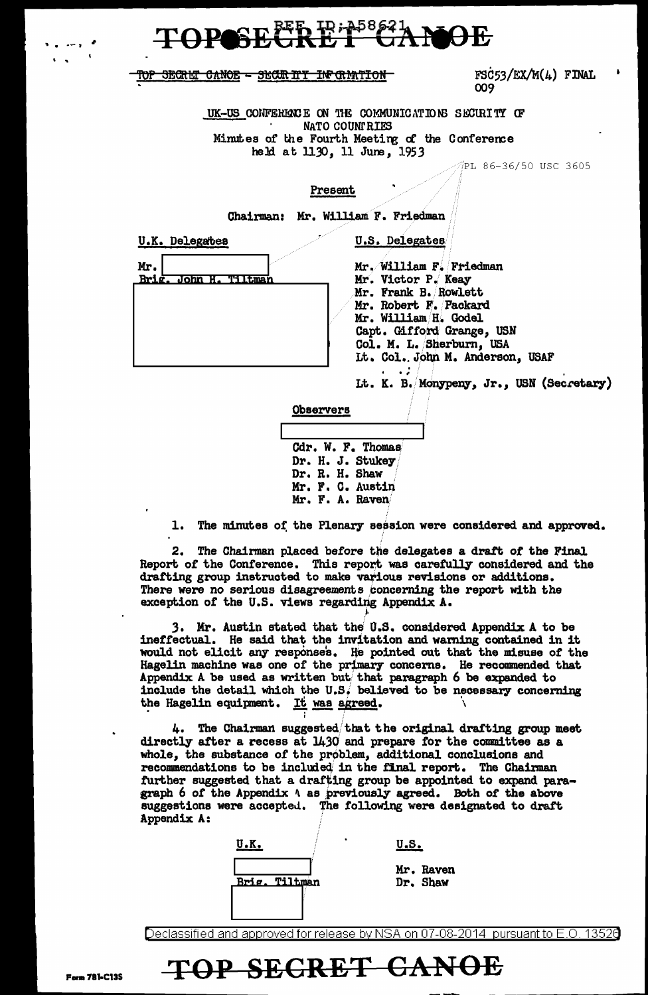**OPOSE FED**  $\frac{10,258621}{1}$ 

## TOP SECRET CANOE - SECURITY INFORMATION

 $FSC53/EX/M(4)$  FINAL 009

UK-US CONFERENCE ON THE COMMUNICATIONS SECURITY OF NATO COUNTRIES Minutes of the Fourth Meeting of the Conference held at 1130, 11 June, 1953

U.S. Delegates

PL 86-36/50 USC 3605

## Present



U.K. Delegates Mr. **Rrig** John H.

Mr. William F. Friedman Mr. Victor P. Keay Mr. Frank B. Rowlett Mr. Robert  $F_{\bullet}$  Packard Mr. William H. Godel Capt. Gifford Grange, USN Col. M. L. Sherburn, USA Lt. Col. John M. Anderson, USAF

Lt. K. B. Monypeny, Jr., USN (Secretary)

**Observers** 

Cdr. W. F. Thomas Dr. H. J. Stukey Dr. R. H. Shaw Mr. F. C. Austin Mr. F. A. Raven

1. The minutes of the Plenary session were considered and approved.

2. The Chairman placed before the delegates a draft of the Final Report of the Conference. This report was carefully considered and the drafting group instructed to make various revisions or additions. There were no serious disagreements concerning the report with the exception of the U.S. views regarding Appendix A.

3. Mr. Austin stated that the U.S. considered Appendix A to be ineffectual. He said that the invitation and warning contained in it would not elicit any responses. He pointed out that the misuse of the Hagelin machine was one of the primary concerns. He recommended that Appendix A be used as written but that paragraph 6 be expanded to include the detail which the U.S. believed to be necessary concerning the Hagelin equipment. It was agreed.

The Chairman suggested that the original drafting group meet directly after a recess at 1430 and prepare for the committee as a whole, the substance of the problem, additional conclusions and recommendations to be included in the final report. The Chairman further suggested that a drafting group be appointed to expand paragraph 6 of the Appendix A as previously agreed. Both of the above suggestions were accepted. The following were designated to draft Appendix A:

| U.K.          | ٠ | U.S. |                       |
|---------------|---|------|-----------------------|
| Brig. Tiltman |   |      | Mr. Raven<br>Dr. Shaw |

Declassified and approved for release by NSA on 07-08-2014 pursuant to E.O. 13526

## TOP SECRET CANOE